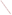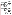• Label one copy of the comments for the attention of the Environmental Review and Compliance Branch, PR– 11.1.

• Reference Docket No. CP98–761– 000; and

• *Mail your comments so that they will be received in Washington, DC on or before November 9, 1998.*

#### **Becoming an Intervenor**

In addition to involvement in the EA scoping process, you may want to become an official party to the proceeding known as an ''intervenor''. Intervenors play a more formal role in the process. Among other things, intervenors have the right to receive copies of case-related Commission documents and filings by other intervenors. Likewise, each intervenor must provide 14 copies of its filings to the Secretary of the Commission and must send a copy of its filings to all other parties on the Commission's service list for this proceeding. If you want to become an intervenor you must file a motion to intervene according to Rule 214 of the Commission's Rules of Practice and Procedure (18 CFR 385.214) (see appendix 3). Only intervenors have the right to seek rehearing of the Commission's decision.

The date for filing timely motions to intervene in this proceeding has passed. Therefore, parties now seeking to file late interventions must show good cause, as required by section 385.214(b)(3), why this time limitation should be waived. Environmental issues have been viewed as good cause for late intervention. *You do not need intervenor status to have your environmental comments considered.*

Additional information about the proposed project is available from Mr. Paul McKee of the Commission's Office of External Affairs at (202) 208–1088.

# **David P. Boergers,**

*Secretary.*

[FR Doc. 98–27432 Filed 10–13–98; 8:45 am] **BILLING CODE 6717–01–M**

## **ENVIRONMENTAL PROTECTION AGENCY**

**[FRL–6176–3]**

**Agency Information Collection Activities: Continuing Collection; Comment Request; Used Oil Management Standards Recordkeeping and Reporting Requirements**

**AGENCY:** Environmental Protection Agency (EPA). **ACTION:** Notice.

**SUMMARY:** In compliance with the Paperwork Reduction Act (44 U.S.C. 3501 *et seq.*), this document announces that EPA is planning to submit the following continuing Information Collection Request (ICR) to the Office of Management and Budget (OMB): Used Oil Management Standards Recordkeeping and Reporting Requirements, EPA ICR Number 1286, OMB Control Number 2050–0124, expires 3/31/1999. Before submitting the ICR to OMB for review and approval, EPA is soliciting comments on specific aspects of the proposed information collection as described below.

**DATES:** Comments must be submitted on or before December 14, 1998.

**ADDRESSES:** Commenters must send an original and two copies of their comments referencing docket number F–98–UOIP–FFFFF to: RCRA Docket Information Center, Office of Solid Waste (5305G), U.S. Environmental Protection Agency Headquarters (EPA, HQ), 401 M Street, SW, Washington, DC 20460. Hand deliveries of comments should be made to the Arlington, VA, address below. Comments may also be submitted electronically through the Internet to: rcra-

docket@epamail.epa.gov. Comments in electronic format should also be identified by the docket number F–98– UOIP–FFFFF. All electronic comments must be submitted as an ASCII file avoiding the use of special characters and any form of encryption.

Commenters should not submit any confidential business information (CBI) electronically. An original and two copies of CBI must be submitted under separate cover to: RCRA CBI Document Control Officer, Office of Solid Waste (5305W), U.S. EPA, 401 M Street, SW, Washington, DC 20460.

Public comments and supporting materials are available for viewing in the RCRA Information Center (RIC), located at Crystal Gateway I, First Floor, 1235 Jefferson Davis Highway, Arlington, VA. The RIC is open from 9 a.m. to 4 p.m., Monday through Friday, excluding federal holidays. To review docket materials, it is recommended that the public make an appointment by calling (703) 603–9230. The public may copy a maximum of 100 pages from any regulatory docket at no charge. Additional copies cost \$0.15/page. This document and the supporting document that details the Used Oil ICR are also available electronically. See the **SUPPLEMENTARY INFORMATION** section for information on accessing them. **FOR FURTHER INFORMATION CONTACT:**

### **RCRA Hotline**

For general information, contact the RCRA Hotline at (800) 424–9346 or TDD (800) 553–7672 (hearing impaired). In the Washington, DC, metropolitan area, call (703) 412–9810 or TDD (703) 412– 3323.

## **Used Oil ICR Details**

For more detailed information on specific aspects of the used oil information collect requests, contact Tom Rinehart by mail at Office of Solid Waste (5304W), U.S. Environmental Protection Agency, 401 M Street, SW, Washington, DC 20460, by phone at (703) 308–4309, or by Internet e-mail at rinehart.tom@epamail.epa.gov. **SUPPLEMENTARY INFORMATION:**

#### **Internet Availability**

Today's document and the supporting document that details the Used Oil ICR are available on the Internet. Follow these instructions to access this information electronically:

WWW URL: http://www.epa.gov/ epaoswer/hazwaste/usedoil/ index.htm

FTP: ftp.epa.gov

## Login: anonymous

Password: your Internet e-mail address Path: /pub/epaoswer

**Note:** The official record for this action will be kept in paper form and maintained at the address in the **ADDRESSES** section above.

### **Used Oil ICR Renewal**

*Affected entities:* Entities potentially affected by this action are those which handle or manage used oil including used oil transporters, transfer facilities, processors, re-refiners, and offspecification burners.

*Title:* Used Oil Management Standards Recordkeeping and Reporting Requirements (OMB Control No. 2050– 0124; EPA ICR No. 1286) expiring 03/ 31/1999.

*Abstract:* EPA is seeking public comment on the Used Oil Management Standards Recordkeeping and Reporting Requirements ICR (Used Oil ICR) prior to submitting it to OMB for renewal. The Used Oil Management Standards, which include information collection requests, were developed in accordance with section 3014 of the Resource Conservation and Recovery Act (RCRA), as amended by the Hazardous and Solid Waste Amendments of 1984 (HSWA), which directs EPA to ''promulgate regulations \* \* \* as may be necessary to protect public health and the environment from the hazards associated with recycled oil'' and, at the same time, to not discourage used oil recycling. In 1985 and 1992, EPA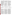established mandatory regulations that govern the management of used oil (see 40 CFR part 279). To document and ensure proper handling of used oil, these regulations establish notification, testing, tracking and recordkeeping requirements for used oil transporters, processors, re-refiners, marketers, and burners. They also set standards for the prevention and cleanup of releases to the environment during storage and transit, and for the safe closure of storage units and processing and rerefining facilities to mitigate future releases and damages. EPA believes these requirements minimize potential hazards to human health and the environment from the potential mismanagement of used oil by used oil handlers, while providing for the safe recycling of used oil. Information from these information collection requirements is used to ensure compliance with the Used Oil Management Standards.

An agency may not conduct or sponsor, and a person is not required to respond to, a collection of information unless it displays a currently valid OMB control number. The OMB control numbers for EPA's regulations are listed in 40 CFR part 9 and 48 CFR Chapter 15.

EPA would like to solicit comments to:

(i) Evaluate whether the proposed collection of information is necessary for the proper performance of the functions of the agency, including whether the information will have practical utility;

(ii) Evaluate the accuracy of the agency's estimate of the burden of the proposed collection of information, including the validity of the methodology and assumptions used;

(iii) Enhance the quality, utility, and clarity of the information to be collected; and

(iv) Minimize the burden of the collection of information on those who are to respond, including through the use of appropriate automated electronic, mechanical, or other technological collection techniques or other forms of information technology, e.g., permitting electronic submission of responses.

### **Burden Statement**

The total information collection burden to the regulated community for complying with part 279 is approximately 363,485 hours per year, which represents an annual cost of \$9,123,907. Table 1 summarizes the total cost and burden for each category of used oil handlers. The ICR burden and cost for each category of used oil handler is detailed in the following sections and the ICR supporting document available free of cost from the RCRA Information Center.

TABLE 1.—ESTIMATED BURDEN AND COST FOR ALL RESPONDENTS REGULATED BY 40 CFR PART 279

| All respondents                                                                        | Hours and costs per respondent              |                                                         |                                          | Total hours and costs    |                                                           |                                                       |
|----------------------------------------------------------------------------------------|---------------------------------------------|---------------------------------------------------------|------------------------------------------|--------------------------|-----------------------------------------------------------|-------------------------------------------------------|
| Information collection activity                                                        | Respondent<br>hours/year                    | Labor cost/<br>year                                     | Material<br>cost                         | Total enti-<br>ties      | Total hours/<br>year                                      | Total cost/year                                       |
| Used Oil Transporters and Transfer Facilities<br>Burners of Off-Specification Used Oil | 884.20<br>529.92<br>16.49<br>159.69<br>1.40 | \$20,542.89<br>11.865.96<br>503.45<br>3.629.08<br>37.40 | \$24.827<br>0.00<br>0.00<br>0.00<br>0.00 | 383<br>249<br>100<br>441 | 161.729.08<br>131.949.56<br>1,473.33<br>68,332.95<br>2.80 | \$5,093,575<br>2.416.412<br>50.345<br>1,563,500<br>75 |
| Total                                                                                  |                                             |                                                         |                                          | 732                      | 363.484.92                                                | 9,123,907                                             |

## *Generators, Collection Centers, and Aggregation Points*

The Used Oil Management Standards of 40 CFR part 279 do not impose any information collection activity requirements that are covered by the Paperwork Reduction Act on used oil generators, collection centers, and aggregation points.

### *Transporters and Transfer Facilities*

Transporter and transfer facility requirements for used oil are set forth in part 279, Subpart E. Under these requirements, used oil transporters and transfer facilities must determine the total halogen content of the used oil that they handle. They also must keep records of each used oil shipment accepted for transport and/or delivered to another used oil transporter, a processor/re-refining facility, a used oil burner, a fuel marketer, or other used oil recycling facility. These records must be maintained for at least three years. EPA believes these recordkeeping requirements are necessary to ensure that used oil is properly managed.

Documenting all parties who handled the used oil also discourages adulteration of used oil by any used oil handler.

EPA estimates that there are 383 independent used oil transporters and transfer facilities currently in operation. The total estimated information collection burden to each transporter and transfer facility is 884 hours per year, which represents an annual cost of approximately \$20,543. This results in a total annual burden for all transporters and transfer facilities of 161,729 hours, at a total cost of \$5,093,575.

The Agency assumes that used oil transporters will read the used oil management regulations as they pertain to used oil transportation and transfer facilities once each year. EPA estimates that the annual burden for a used oil transporter to read the regulations is four hours, at an annual cost of \$107. The annual burden to 383 transporters due to reading the regulations is 1,341 hours, at a cost of \$40,994.

EPA estimates that one-eighth of the 383 used oil transporters and transfer

facilities, or 48 did not previously test the halogen content of the used oil. This estimate is based on a National Oil Recyclers Association survey. The requirement does not impose an incremental burden or cost on most used oil transporters because such determinations were already a widely conducted industry practice in response to the used oil fuel specification established in 1985. A transporter typically makes halogen content determinations 4,633 times per year at a materials cost of \$5.36 per test. EPA estimates the total annual materials cost per transporter to be \$24,827, which totals \$1,191,696 for 48 transporters. The total annual burden hours per transporter is 463 hours, at a cost of \$11,839. This translates to an annual burden of 22,240 hours, at a cost of \$568,272 for the 48 transporters and transfer facilities. The combined cost (labor plus materials) is \$1,759,962.

Transporter and transfer facilities must keep records of used oil shipments delivered to processors or other customers. EPA estimates that an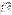average of 530 shipments are delivered each year by a transporter. The Agency believes that while many of the tracking requirements (e.g., name and address of recipient, quantity shipped, date) are part of customary business practice, some incremental burden results from the regulations. EPA estimates the incremental tracking requirement associated with these shipments results in an annual respondent burden of 42 hours per year, which represents an annual cost of \$848. The annual burden associated with these tracking requirements for all transporters and transfer facilities is 16,163 hours, at a cost of \$324,669.

Every transporter and transfer facility must also keep records of each shipment of used oil accepted at each facility. EPA estimates that an average of 4,000 shipments are accepted each year by each transporter. The incremental tracking requirement for such shipments results in an annual burden of 319 hours per year, at an annual cost of \$6,398. Therefore, the annual burden for all transporters and transfer facilities is 121,986 hours, at a total cost of \$2,450,331.

Transporters and transfer facilities must maintain the records of their halogen testing and tracking activities for up to three years. Maintaining these records imposes a an annual burden of 57 hours, at a cost of \$1,351.00, for each transporter or transfer facility. The annual burden for all transporters and transfer facilities due to maintaining records is 21,703 hours, at a cost of \$517,619.

## *Processors and Re-Refiners*

Processor and re-refiner requirements for used oil are set forth in 40 CFR Part 279, Subpart F. Owners/operators of used oil processing and re-refining facilities are required to undertake prevention and preparedness activities at their facilities. These requirements ensure that used oil processing and rerefining facilities are maintained to minimize the threat of a sudden or nonsudden release, fire, explosion or similar emergency and ensure that facilities are prepared to undertake appropriate actions if an emergency situation occurs.

Used oil processing and re-refining facilities that store or process used oil in aboveground or underground tanks must also determine at the time of closure whether all contaminated soils can be practicably removed or decontaminated as required. If the owner/operator cannot make the determination, the owner/operator must close the tank system and perform postclosure care. Based on existing

Superfund data and RCRA enforcement information available for the solid waste management units used for used oil storage or management, EPA believes that these closure requirements are critical to minimizing the potential creation of future Superfund sites.

Used oil processors and re-refiners are also required to develop a written used oil analysis plan and retain a copy of the plan at the facility. The plan must include information concerning methods, location and frequency for analysis of used oil. This requirement ensures that processors and re-refiners use adequate sampling and testing methodologies.

Used oil processors and re-refiners are required to keep a record for each used oil shipment that is accepted for processing or re-refining or delivered to another used oil processor and rerefiner, to a used oil burner, or a disposal facility. All records must be maintained for at least three years. EPA believes these recordkeeping requirements are necessary to ensure that used oil is properly managed. Documenting all parties who handled the used oil also discourages adulteration of used oil by any used oil handler.

Used oil processors and re-refiners are also required to submit a biennial report to EPA. EPA requires this information to identify industry trends.

EPA estimates that there are between 211 and 286 used oil processors/rerefiners currently in operation. For the purposes of these burden and cost estimates, EPA chose the midpoint of this range (249) as its estimate for the number of processors/re-refiners. The total estimated annual information collection burden for a processor/rerefiner is 530 hours, which represents an annual cost of \$11,866. This results in a total annual burden for all used oil processors/re-refiners of 131,950 hours, at a cost of \$2,416,412.

The Agency assumes that used oil processors/re-refiners will read the regulations once each year. EPA estimates the annual burden for a used oil processor/re-refiner to read the regulations is 14 hours, which represents an annual cost of \$414. The total annual burden imposed upon all processors/re-refiners related to reading the regulations is 3,362 hours, at a cost of \$103,055.

EPA believes that only new processors/re-refiners need to develop contingency and emergency plans, because existing processors/re-refiners should have already prepared such plans. With the trend toward consolidation, rather than expansion, among industry participants, EPA

expects no incremental burden from this requirement. However, all the estimated 249 processors and re-refiners will revise their contingency plan once annually. EPA estimates the annual burden for a processor/re-refiner to revise a contingency plan is seven hours, at a cost of \$188. The annual burden to the estimated 249 processor/ re-refiners, related to the contingency plan requirement, is 1,619 hours, at a cost of \$46,930. Additionally, EPA estimates that 1 percent of used oil processors/re-refiners will experience an emergency each year. Therefore, a total of two processors/re-refiners would be subject to emergency procedural requirements and subsequent revisions of emergency plans. It is estimated that the emergency plan revision process and procedural requirements subject each processor/re-refiner to a burden of 22 hours, at an annual cost of \$619. EPA estimates that these requirements affect two facilities each year, so the annual burden for all processor/re-refiners is 45 hours at a cost of \$1,238.

Only new processors/re-refiners need to develop analysis plans, since existing processors/re-refiners should already have developed analysis plans. With the trend toward consolidation, rather than expansion, among industry participants, EPA expects no incremental burden from this requirement. However, all the estimated 249 processors/re-refiners are affected by the requirement to maintaining written analysis plans. EPA estimates that the burden to each processor/re-refiner associated with this requirement is six hours, at a cost of \$154. The annual burden associated with this requirement to the estimated 249 processors/re-refiners is 1,413 hours, at a cost of \$38,254.

Processors/re-refiners must keep records of each shipment of used oil delivered to customers. EPA estimates that an average of 530 shipments are delivered by a processor/re-refiner each year. EPA believes that many of the tracking requirements (e.g., name and address of recipient, quantity shipped, date) are customary business practice. The regulations, however, do impose some incremental burden. EPA estimates the incremental burden associated with tracking these shipments results in an annual burden to a processor/re-refiner of 48 hours per year, which represents an annual cost of \$987. The annual burden for all processors/re-refiners due to this requirement is 11,828 hours at a cost of \$245,769.

Processors/re-refiners also keep records of each shipment of used oil accepted at each facility. EPA estimates that 4,000 shipments are accepted each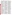year at each facility. EPA estimates that the incremental tracking requirement associated with these shipments results in an annual burden each to processor/ re-refiner of 359 hours, which represents an annual cost of \$7,449. The annual burden to the estimated 249 processors/re-refiners due to this requirement is 89,267 hours, at a cost of \$1,856,861.

Processors/re-refiners submit a biennial report that contains company specific information. EPA estimates that this requirement imposes an annual burden of five hours to each processor/ re-refiner, with an annual cost of \$120 per facility. The annual burden associated with the biennial reporting requirement to the estimated 249 processor and re-refiners is 1,251 hours at a cost of \$29,980.

Processors/re-refiners must maintain records of the contingency and emergency procedures, analysis plan, and tracking activities for up to three years. EPA estimates that 80 percent of processors/re-refiners retain records as part of their current operating practices in response to the burning regulations promulgated in 1985. The total burden to the remaining 20 percent of the estimated 249 processors/re-refiners, or 50 processors/re-refiners, associated with these record retention requirements is 3,532 hours annually, at a cost of \$96,325.

#### *Off-Specification Burners*

EPA ARCHIVE DOCUMENT

On November 29, 1985, EPA promulgated notification, analysis and recordkeeping requirements for offspecification used oil burners. These standards are now codified under part 279, subpart G. Burners are required to keep a record for each used oil shipment that is accepted for burning. Before a burner can accept off-specification used oil fuel from a used oil marketer, he must provide to the used oil marketer a one-time written and signed notice certifying that the burner has notified EPA of his location, provided a general description of his used oil management activities, and that used oil will only be burned in an industrial furnace or boiler identified in 40 CFR 279.61. The certification must be maintained for three years from the date the burner last receives a shipment of off-specification used oil from that used oil marketer. EPA believes these recordkeeping requirements are necessary to ensure that used oil is properly managed. Documenting all parties who handled the used oil also discourages adulteration of used oil by any used oil handler. These requirements also ensure that off-specification used oil is burned only in approved units.

EPA estimates that there are approximately 100 used oil burners that burn off-specification used oil for energy recovery. The estimated information collection burden to each burner is 16.5 hours, at an annual cost of \$503. The total annual burden to the estimated 100 used oil burners is 1,473 hours, at a cost of \$50,345.

EPA accounts for the fact that used oil will read the regulations once annually. EPA estimates that the annual burden for a burner to read the regulations is 13 hours, at an annual cost of \$387. The annual burden for all burners to read the regulations is 1,300 hours, at a cost of \$38,675.

Used oil burners are required to keep records of each off-specification used oil shipment accepted at their facilities. EPA estimates that a used oil burner accepts an average of 18 shipments each year. EPA estimates the tracking requirements associated with accepting off-specification used oil shipments results in an annual burden of 1.7 hours per year for each burner, at an annual cost of \$49. The annual burden to the estimated 100 used oil burners due to this requirement is 173 hours, at a cost of \$4,886.

A used oil burner must notify each generator, transporter, and processor/rerefiner that ships off-specification used oil to its facility that it is approved for that purpose. EPA estimates that this requirement imposes an annual burden of six minutes per year to a used oil burner, at an annual cost of \$4. The total annual burden to the estimated 100 used oil burners due to this requirement is 10 hours, at a cost of \$388.

Burners must maintain the records of the tracking and notice activities for up to three years. EPA estimates that the requirement to maintain records imposes an annual burden of 1.7 hours to a used oil burner, at a cost of \$64. The total annual burden to the estimated 100 used oil burners due to the requirement to maintain records is 166 hours, at a cost of \$6,396.

#### *Marketers*

On November 29, 1985, EPA promulgated notification, analysis and recordkeeping requirements for marketers of used oil. These standards are now codified under 40 CFR part 279, subpart H. Marketers that demonstrate that used oil meets the specifications of 40 CFR 279.11 are required to keep copies of analyses or other information documenting that the used oil fuel meets the specifications. These copies must be kept for at least three years. Marketers who direct a shipment of offspecification used oil to a burner are required to keep a record of each used

oil shipment. Before a marketer sends a first shipment of off-specification used oil fuel to a burner, he must obtain from the burner a one-time written and signed notice certifying that the burner has notified EPA of his location and has provided a general description of his used oil management activities, and that the burner will burn the used oil only in an industrial furnace or boiler identified in 40 CFR 279.61. The certification must be maintained for three years from the date the marketer last sends a shipment of offspecification used oil to the burner. This provides assurances that the offspecification oil is burned in facilities with appropriate emission controls. EPA believes these recordkeeping requirements are necessary to ensure that used oil is properly managed. Documenting all parties who handled the used oil also discourages adulteration of used oil by any used oil handler.

EPA estimates that there are 192 used oil transporter-marketers and 249 processor-marketers for a total of 441 marketers. These estimates are based on the assumptions that half of the estimated 383 transporters are also marketers and that all of the estimated 249 processors/re-refiners are also marketers. EPA estimates the total annual burden for each used oil marketer to be 160 hours, at an annual cost of \$3,629. The total annual burden to the estimated 441 used oil marketers is 68,333 hours, at a cost of \$1,563,500.

Processors that are marketers must have an analysis plan outlining when, how, and by whom the used oil will be tested as to whether is meets the used oil fuel specification. This requirement imposes a burden of 155 hours per facility, with an annual cost of \$3,462. The annual burden for all 249 processor-marketers is 38,583 hours and \$861,945.

Every transporter that is a marketer also obtains copies of analyses documenting that the used oil fuel meets the specifications, or it must perform the analysis itself. EPA estimates that this determination requirement results in the same hourly and economic burden per transporter as the processors. The annual burden for the 192 transporter-marketers due to this requirement is 29,750 hours, at a cost of \$664,632.

Processor-marketers must obtain a notice verifying that the burner facility to which they deliver the offspecification used oil is approved for that purpose. EPA estimates that this requirement imposes an annual burden for each marketer of five hours per year, at an annual cost of \$84. The total